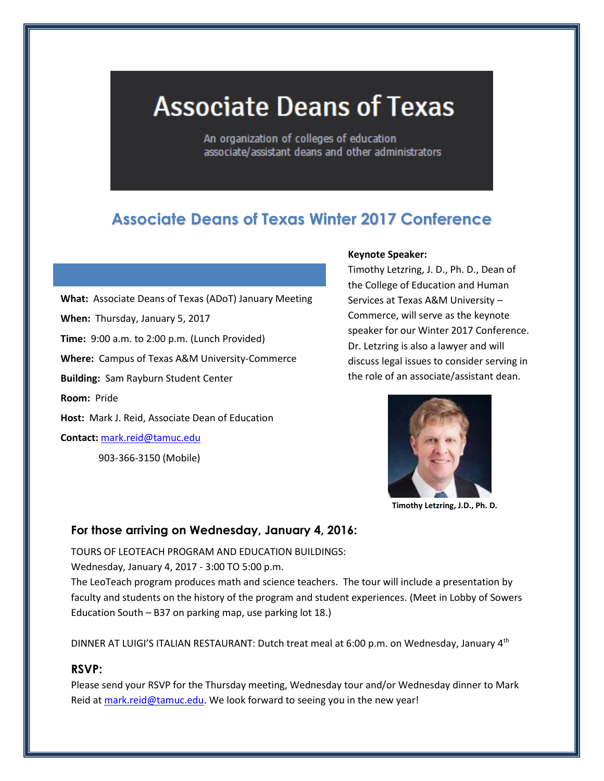# **Associate Deans of Texas**

An organization of colleges of education associate/assistant deans and other administrators

# **Associate Deans of Texas Winter 2017 Conference**

**What:** Associate Deans of Texas (ADoT) January Meeting **When:** Thursday, January 5, 2017 **Time:** 9:00 a.m. to 2:00 p.m. (Lunch Provided) **Where:** Campus of Texas A&M University-Commerce **Building:** Sam Rayburn Student Center **Room:** Pride **Host:** Mark J. Reid, Associate Dean of Education **Contact:** [mark.reid@tamuc.edu](mailto:mark.reid@tamuc.edu)

903-366-3150 (Mobile)

#### **Keynote Speaker:**

Timothy Letzring, J. D., Ph. D., Dean of the College of Education and Human Services at Texas A&M University – Commerce, will serve as the keynote speaker for our Winter 2017 Conference. Dr. Letzring is also a lawyer and will discuss legal issues to consider serving in the role of an associate/assistant dean.



**Timothy Letzring, J.D., Ph. D.**

#### **For those arriving on Wednesday, January 4, 2016:**

TOURS OF LEOTEACH PROGRAM AND EDUCATION BUILDINGS:

Wednesday, January 4, 2017 - 3:00 TO 5:00 p.m.

The LeoTeach program produces math and science teachers. The tour will include a presentation by faculty and students on the history of the program and student experiences. (Meet in Lobby of Sowers Education South – B37 on parking map, use parking lot 18.)

DINNER AT LUIGI'S ITALIAN RESTAURANT: Dutch treat meal at 6:00 p.m. on Wednesday, January 4<sup>th</sup>

## **RSVP:**

Please send your RSVP for the Thursday meeting, Wednesday tour and/or Wednesday dinner to Mark Reid a[t mark.reid@tamuc.edu.](mailto:mark.reid@tamuc.edu) We look forward to seeing you in the new year!